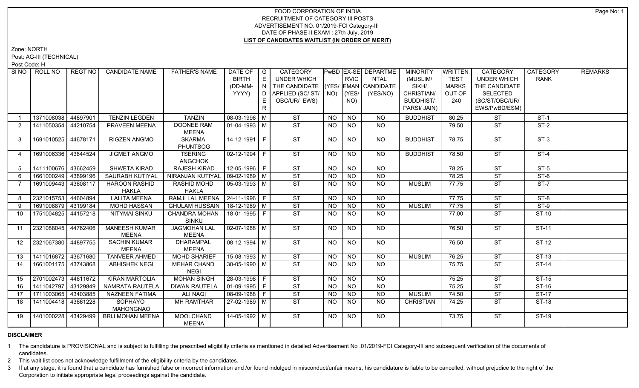# FOOD CORPORATION OF INDIA RECRUITMENT OF CATEGORY III POSTS ADVERTISEMENT NO. 01/2019-FCI Category-III DATE OF PHASE-II EXAM : 27th July, 2019 **LIST OF CANDIDATES WAITLIST (IN ORDER OF MERIT)**

Zone: NORTH

Post: AG-III (TECHNICAL)

Post Code: H

|                | SINO   ROLL NO      | REGT NO  | <b>CANDIDATE NAME</b>                | <b>FATHER'S NAME</b>                | DATE OF   G           |                | CATEGORY                           |                 |                 | <b>PwBD EX-SE DEPARTME</b> | <b>MINORITY</b>  | WRITTEN      | <b>CATEGORY</b>          | <b>CATEGORY</b> | <b>REMARKS</b> |
|----------------|---------------------|----------|--------------------------------------|-------------------------------------|-----------------------|----------------|------------------------------------|-----------------|-----------------|----------------------------|------------------|--------------|--------------------------|-----------------|----------------|
|                |                     |          |                                      |                                     | <b>BIRTH</b>          | E              | UNDER WHICH                        |                 | <b>RVIC</b>     | <b>NTAL</b>                | (MUSLIM/         | <b>TEST</b>  | <b>UNDER WHICH</b>       | <b>RANK</b>     |                |
|                |                     |          |                                      |                                     | (DD-MM-               | N              | THE CANDIDATE (YES/ EMAN CANDIDATE |                 |                 |                            | SIKH/            | <b>MARKS</b> | THE CANDIDATE            |                 |                |
|                |                     |          |                                      |                                     | YYYY)                 | $\overline{D}$ | APPLIED (SC/ST/ NO)                |                 | (YES/           | (YES/NO)                   | CHRISTIAN/       | OUT OF       | SELECTED                 |                 |                |
|                |                     |          |                                      |                                     |                       | E              | OBC/UR/ EWS)                       |                 | NO)             |                            | <b>BUDDHIST/</b> | 240          | (SC/ST/OBC/UR/           |                 |                |
|                |                     |          |                                      |                                     |                       | R.             |                                    |                 |                 |                            | PARSI/ JAIN)     |              | EWS/PwBD/ESM)            |                 |                |
|                | 1371008038          | 44897901 | <b>TENZIN LEGDEN</b>                 | <b>TANZIN</b>                       | $08-03-1996$ M        |                | <b>ST</b>                          | NO              | <b>NO</b>       | <b>NO</b>                  | <b>BUDDHIST</b>  | 80.25        | <b>ST</b>                | $ST-1$          |                |
| 2              | 1411050354          | 44210754 | PRAVEEN MEENA                        | DOONEE RAM                          | 01-04-1993 M          |                | ST                                 | NO.             | NO              | NO.                        |                  | 79.50        | ST                       | $ST-2$          |                |
|                |                     |          |                                      | MEENA                               |                       |                |                                    |                 |                 |                            |                  |              |                          |                 |                |
| 3              | 1691010525          | 44678171 | <b>RIGZEN ANGMO</b>                  | <b>SKARMA</b>                       | 14-12-1991 F          |                | <b>ST</b>                          | NO              | NO              | NO                         | <b>BUDDHIST</b>  | 78.75        | <b>ST</b>                | $ST-3$          |                |
|                |                     |          |                                      | <b>PHUNTSOG</b>                     |                       |                |                                    |                 |                 |                            |                  |              |                          |                 |                |
| 4              | 1691006336          | 43844524 | <b>JIGMET ANGMO</b>                  | <b>TSERING</b>                      | $02 - 12 - 1994$ F    |                | $\overline{\text{ST}}$             | NO.             | NO.             | NO.                        | <b>BUDDHIST</b>  | 78.50        | <b>ST</b>                | $ST-4$          |                |
|                |                     |          |                                      | <b>ANGCHOK</b>                      |                       |                |                                    |                 |                 |                            |                  |              |                          |                 |                |
| 5 <sup>5</sup> | 1411100676          | 43662459 | <b>SHWETA KIRAD</b>                  | <b>RAJESH KIRAD</b>                 | $12 - 05 - 1996$ F    |                | $\overline{\text{ST}}$             | NO              | NO              | NO.                        |                  | 78.25        | $\overline{\text{ST}}$   | $ST-5$          |                |
| 6              | 1661000249          | 43899196 | SAURABH KUTIYAL                      | NIRANJAN KUTIYAI                    | $\sqrt{09-02-1989}$ M |                | $\overline{\text{ST}}$             | <b>NO</b>       | <b>NO</b>       | <b>NO</b>                  |                  | 78.25        | <b>ST</b>                | $ST-6$          |                |
| 7              | 1691009443          | 43608117 | <b>HAROON RASHID</b>                 | <b>RASHID MOHD</b>                  | 05-03-1993 M          |                | $\overline{\text{ST}}$             | NO.             | NO              | NO.                        | MUSLIM           | 77.75        | <b>ST</b>                | $ST-7$          |                |
|                |                     |          | <b>HAKLA</b>                         | <b>HAKLA</b>                        |                       |                |                                    |                 |                 |                            |                  |              |                          |                 |                |
| 8              | 2321015753          | 44604894 | <b>LALITA MEENA</b>                  | RAMJI LAL MEENA   24-11-1996   F    |                       |                | $\overline{\text{ST}}$             | <b>NO</b>       | <b>NO</b>       | NO.                        |                  | 77.75        | $\overline{\text{ST}}$   | $ST-8$          |                |
| 9              | 1691008879          | 43199184 | <b>MOHD HASSAN</b>                   | <b>GHULAM HUSSAIN</b>               | $18-12-1989$ M        |                | <b>ST</b>                          | <b>NO</b>       | <b>NO</b>       | <b>NO</b>                  | <b>MUSLIM</b>    | 77.75        | <b>ST</b>                | ST-9            |                |
| 10             | 1751004825          | 44157218 | <b>NITYMAI SINKU</b>                 | <b>CHANDRA MOHAN</b>                | $18-01-1995$ F        |                | $\overline{\text{ST}}$             | NO.             | <b>NO</b>       | NO.                        |                  | 77.00        | <b>ST</b>                | ST-10           |                |
|                |                     |          |                                      | SINKU                               |                       |                | ST                                 |                 |                 | NO.                        |                  |              |                          | ST-11           |                |
| 11             | 2321088045          | 44762406 | <b>MANEESH KUMAR</b><br><b>MEENA</b> | <b>JAGMOHAN LAL</b><br><b>MEENA</b> | 02-07-1988   M        |                |                                    | NO.             | <b>NO</b>       |                            |                  | 76.50        | <b>ST</b>                |                 |                |
| 12             | 2321067380          | 44897755 | <b>SACHIN KUMAR</b>                  | <b>DHARAMPAL</b>                    | 08-12-1994   M        |                | <b>ST</b>                          | <b>NO</b>       | NO              | NO                         |                  | 76.50        | <b>ST</b>                | ST-12           |                |
|                |                     |          | MEENA                                | MEENA                               |                       |                |                                    |                 |                 |                            |                  |              |                          |                 |                |
| 13             | 1411016872 43671680 |          | <b>TANVEER AHMED</b>                 | <b>MOHD SHARIEF</b>                 | $15-08-1993$ M        |                | $\overline{\text{ST}}$             | $\overline{NO}$ | $\overline{NO}$ | NO.                        | <b>MUSLIM</b>    | 76.25        | ST                       | $ST-13$         |                |
| 14             | 1661001175 43743868 |          | <b>ABHISHEK NEGI</b>                 | <b>MEHAR CHAND</b>                  | 30-05-1990 M          |                | ST                                 | NO.             | NO.             | NO.                        |                  | 75.75        | $\overline{\mathsf{ST}}$ | $ST-14$         |                |
|                |                     |          |                                      | <b>NEGI</b>                         |                       |                |                                    |                 |                 |                            |                  |              |                          |                 |                |
| 15             | 2701002473          | 44611672 | <b>KIRAN MARTOLIA</b>                | <b>MOHAN SINGH</b>                  | 28-03-1998 F          |                | $\overline{\text{ST}}$             | <b>NO</b>       | N <sub>O</sub>  | N <sub>O</sub>             |                  | 75.25        | $\overline{\text{ST}}$   | $ST-15$         |                |
| 16             | 1411042797          | 43129849 | NAMRATA RAUTELA                      | <b>DIWAN RAUTELA</b>                | 01-09-1995 F          |                | <b>ST</b>                          | NO.             | NO              | <b>NO</b>                  |                  | 75.25        | <b>ST</b>                | $ST-16$         |                |
| 17             | 1711003065          | 43403885 | <b>NAZNEEN FATIMA</b>                | <b>ALI NAQI</b>                     | $08-09-1988$ F        |                | $\overline{\text{ST}}$             | NO              | $\overline{NO}$ | <b>NO</b>                  | <b>MUSLIM</b>    | 74.50        | $\overline{\text{ST}}$   | $ST-17$         |                |
| 18             | 1411004418          | 43661228 | SOPHAYO                              | <b>MH RAMTHAR</b>                   | 27-02-1989   M        |                | $\overline{\text{ST}}$             | NO.             | <b>NO</b>       | <b>NO</b>                  | <b>CHRISTIAN</b> | 74.25        | <b>ST</b>                | ST-18           |                |
|                |                     |          | MAHONGNAO                            |                                     |                       |                |                                    |                 |                 |                            |                  |              |                          |                 |                |
| 19             | 1401000228          | 43429499 | <b>BRIJ MOHAN MEENA</b>              | <b>MOOLCHAND</b>                    | $14-05-1992$ M        |                | $\overline{\text{ST}}$             | NO              | <b>NO</b>       | NO.                        |                  | 73.75        | $\overline{\text{ST}}$   | $ST-19$         |                |
|                |                     |          |                                      | MEENA                               |                       |                |                                    |                 |                 |                            |                  |              |                          |                 |                |

## **DISCLAIMER**

1 The candidature is PROVISIONAL and is subject to fulfilling the prescribed eligibility criteria as mentioned in detailed Advertisement No .01/2019-FCI Category-III and subsequent verification of the documents of candidates.

2 This wait list does not acknowledge fulfillment of the eligibility criteria by the candidates.

3 If at any stage, it is found that a candidate has furnished false or incorrect information and /or found indulged in misconduct/unfair means, his candidature is liable to be cancelled, without prejudice to the right of t Corporation to initiate appropriate legal proceedings against the candidate.

Page No: 1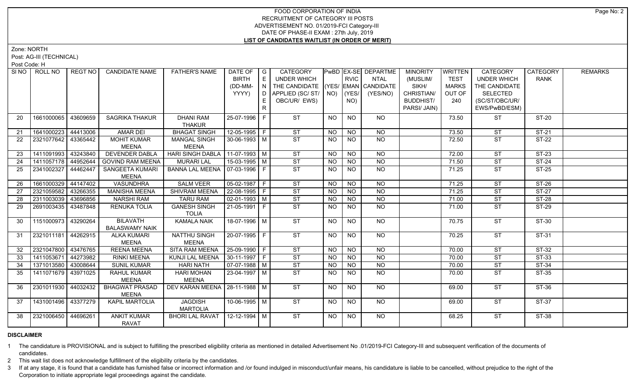# FOOD CORPORATION OF INDIA RECRUITMENT OF CATEGORY III POSTS ADVERTISEMENT NO. 01/2019-FCI Category-III DATE OF PHASE-II EXAM : 27th July, 2019 **LIST OF CANDIDATES WAITLIST (IN ORDER OF MERIT)**

Zone: NORTH

Post: AG-III (TECHNICAL)

Post Code: H

| SI <sub>NO</sub> | ROLL NO             | REGT NO  | <b>CANDIDATE NAME</b>   | <b>FATHER'S NAME</b>              | DATE OF G              |     | CATEGORY                           |           |                | PwBD EX-SE DEPARTME | <b>MINORITY</b>  | <b>WRITTEN</b> | CATEGORY           | CATEGORY     | <b>REMARKS</b> |
|------------------|---------------------|----------|-------------------------|-----------------------------------|------------------------|-----|------------------------------------|-----------|----------------|---------------------|------------------|----------------|--------------------|--------------|----------------|
|                  |                     |          |                         |                                   | <b>BIRTH</b>           | E.  | UNDER WHICH                        |           | <b>RVIC</b>    | NTAL                | (MUSLIM/         | <b>TEST</b>    | <b>UNDER WHICH</b> | <b>RANK</b>  |                |
|                  |                     |          |                         |                                   | (DD-MM-                | IN. | THE CANDIDATE (YES/ EMAN CANDIDATE |           |                |                     | SIKH/            | <b>MARKS</b>   | THE CANDIDATE      |              |                |
|                  |                     |          |                         |                                   | YYYY)                  | D.  | APPLIED (SC/ ST/ NO)               |           | (YES/          | (YES/NO)            | CHRISTIAN/       | OUT OF         | <b>SELECTED</b>    |              |                |
|                  |                     |          |                         |                                   |                        |     | OBC/UR/ EWS)                       |           | NO)            |                     | <b>BUDDHIST/</b> | 240            | (SC/ST/OBC/UR/     |              |                |
|                  |                     |          |                         |                                   |                        | R.  |                                    |           |                |                     | PARSI/ JAIN)     |                | EWS/PwBD/ESM)      |              |                |
| 20               | 1661000065          | 43609659 | SAGRIKA THAKUR          | <b>DHANI RAM</b>                  | 25-07-1996 F           |     | <b>ST</b>                          | NO        | <b>NO</b>      | NO                  |                  | 73.50          | <b>ST</b>          | ST-20        |                |
|                  |                     |          |                         | <b>THAKUR</b>                     |                        |     |                                    |           |                |                     |                  |                |                    |              |                |
| 21               | 1641000223 44413006 |          | <b>AMAR DEI</b>         | <b>BHAGAT SINGH</b>               | $12 - 05 - 1995$ F     |     | <b>ST</b>                          | <b>NO</b> | <b>NO</b>      | NO                  |                  | 73.50          | <b>ST</b>          | <b>ST-21</b> |                |
| 22               | 2321077642 43365442 |          | <b>MOHIT KUMAR</b>      | <b>MANGAL SINGH</b>               | 30-06-1993 M           |     | ST                                 | <b>NO</b> | <b>NO</b>      | <b>NO</b>           |                  | 72.50          | <b>ST</b>          | <b>ST-22</b> |                |
|                  |                     |          | <b>MEENA</b>            | <b>MEENA</b>                      |                        |     |                                    |           |                |                     |                  |                |                    |              |                |
| 23               | 1411091993          | 43243840 | <b>DEVENDER DABLA</b>   | HARI SINGH DABLA   11-07-1993   M |                        |     | ST                                 | NO        | <b>NO</b>      | $\overline{NO}$     |                  | 72.00          | <b>ST</b>          | $ST-23$      |                |
| 24               | 1411057178 44952644 |          | <b>GOVIND RAM MEENA</b> | <b>MURARI LAL</b>                 | $15-03-1995$ M         |     | ST                                 | <b>NO</b> | <b>NO</b>      | $\overline{NQ}$     |                  | 71.50          | <b>ST</b>          | $ST-24$      |                |
| 25               | 2341002327          | 44462447 | SANGEETA KUMARI         | BANNA LAL MEENA   07-03-1996   F  |                        |     | ST                                 | <b>NO</b> | <b>NO</b>      | <b>NO</b>           |                  | 71.25          | <b>ST</b>          | $ST-25$      |                |
|                  |                     |          | <b>MEENA</b>            |                                   |                        |     |                                    |           |                |                     |                  |                |                    |              |                |
| 26               | 1661000329 44147402 |          | <b>VASUNDHRA</b>        | <b>SALM VEER</b>                  | $05-02-1987$ F         |     | ST                                 | <b>NO</b> | N <sub>O</sub> | $\overline{NO}$     |                  | 71.25          | <b>ST</b>          | $ST-26$      |                |
| 27               | 2321059582          | 43266355 | <b>MANISHA MEENA</b>    | <b>SHIVRAM MEENA</b>              | $22-08-1995$ F         |     | $\overline{\text{ST}}$             | <b>NO</b> | <b>NO</b>      | N <sub>O</sub>      |                  | 71.25          | <b>ST</b>          | $ST-27$      |                |
| 28               | 2311003039 43696856 |          | <b>NARSHI RAM</b>       | <b>TARU RAM</b>                   | $\boxed{02-01-1993}$ M |     | ST                                 | <b>NO</b> | <b>NO</b>      | $\overline{NO}$     |                  | 71.00          | <b>ST</b>          | $ST-28$      |                |
| 29               | 2691003435 43487848 |          | <b>RENUKA TOLIA</b>     | <b>GANESH SINGH</b>               | $21-05-1991$ F         |     | ST                                 | NO.       | <b>NO</b>      | N <sub>O</sub>      |                  | 71.00          | <b>ST</b>          | $ST-29$      |                |
|                  |                     |          |                         | <b>TOLIA</b>                      |                        |     |                                    |           |                |                     |                  |                |                    |              |                |
| 30               | 1151000973 43290264 |          | <b>BILAVATH</b>         | <b>KAMALA NAIK</b>                | 18-07-1996 M           |     | ST                                 | NO.       | NO             | NO.                 |                  | 70.75          | ST                 | ST-30        |                |
|                  |                     |          | <b>BALASWAMY NAIK</b>   |                                   |                        |     |                                    |           |                |                     |                  |                |                    |              |                |
| 31               | 2321011181 44262915 |          | <b>ALKA KUMARI</b>      | <b>NATTHU SINGH</b>               | 20-07-1995 F           |     | ST                                 | NO        | <b>NO</b>      | NO                  |                  | 70.25          | ST                 | ST-31        |                |
|                  |                     |          | <b>MEENA</b>            | <b>MEENA</b>                      |                        |     |                                    |           |                |                     |                  |                |                    |              |                |
| 32               | 2321047800 43476765 |          | <b>REENA MEENA</b>      | SITA RAM MEENA                    | $ 25-09-1990 F$        |     | <b>ST</b>                          | <b>NO</b> | <b>NO</b>      | <b>NO</b>           |                  | 70.00          | <b>ST</b>          | <b>ST-32</b> |                |
| 33               | 1411053671 44273982 |          | <b>RINKI MEENA</b>      | KUNJI LAL MEENA                   | $ 30-11-1997 F$        |     | ST                                 | <b>NO</b> | <b>NO</b>      | <b>NO</b>           |                  | 70.00          | <b>ST</b>          | ST-33        |                |
| 34               | 1371013580 43008644 |          | <b>SUNIL KUMAR</b>      | <b>HARI NATH</b>                  | $\boxed{07-07-1988}$ M |     | ST                                 | <b>NO</b> | <b>NO</b>      | $\overline{NQ}$     |                  | 70.00          | <b>ST</b>          | $ST-34$      |                |
| 35               | 1411071679 43971025 |          | RAHUL KUMAR             | <b>HARI MOHAN</b>                 | 23-04-1997   M         |     | <b>ST</b>                          | NO.       | NO             | NO                  |                  | 70.00          | <b>ST</b>          | ST-35        |                |
|                  |                     |          | <b>MEENA</b>            | <b>MEENA</b>                      |                        |     |                                    |           |                |                     |                  |                |                    |              |                |
| 36               | 2301011930 44032432 |          | <b>BHAGWAT PRASAD</b>   | DEV KARAN MEENA   28-11-1988   M  |                        |     | ST                                 | NO        | NO             | NO                  |                  | 69.00          | ST                 | ST-36        |                |
|                  |                     |          | <b>MEENA</b>            |                                   |                        |     |                                    |           |                |                     |                  |                |                    |              |                |
| 37               | 1431001496 43377279 |          | KAPIL MARTOLIA          | <b>JAGDISH</b>                    | $10-06-1995$ M         |     | $\overline{\text{ST}}$             | <b>NO</b> | NO.            | NO                  |                  | 69.00          | <b>ST</b>          | $ST-37$      |                |
|                  |                     |          |                         | <b>MARTOLIA</b>                   |                        |     |                                    |           |                |                     |                  |                |                    |              |                |
| 38               | 2321006450 44696261 |          | <b>ANKIT KUMAR</b>      | <b>BHORI LAL RAVAT</b>            | $12 - 12 - 1994$ M     |     | $\overline{\text{ST}}$             | NO        | <b>NO</b>      | N <sub>O</sub>      |                  | 68.25          | <b>ST</b>          | ST-38        |                |
|                  |                     |          | RAVAT                   |                                   |                        |     |                                    |           |                |                     |                  |                |                    |              |                |

# **DISCLAIMER**

1 The candidature is PROVISIONAL and is subject to fulfilling the prescribed eligibility criteria as mentioned in detailed Advertisement No .01/2019-FCI Category-III and subsequent verification of the documents of candidates.

2 This wait list does not acknowledge fulfillment of the eligibility criteria by the candidates.

3 If at any stage, it is found that a candidate has furnished false or incorrect information and /or found indulged in misconduct/unfair means, his candidature is liable to be cancelled, without prejudice to the right of t Corporation to initiate appropriate legal proceedings against the candidate.

Page No: 2